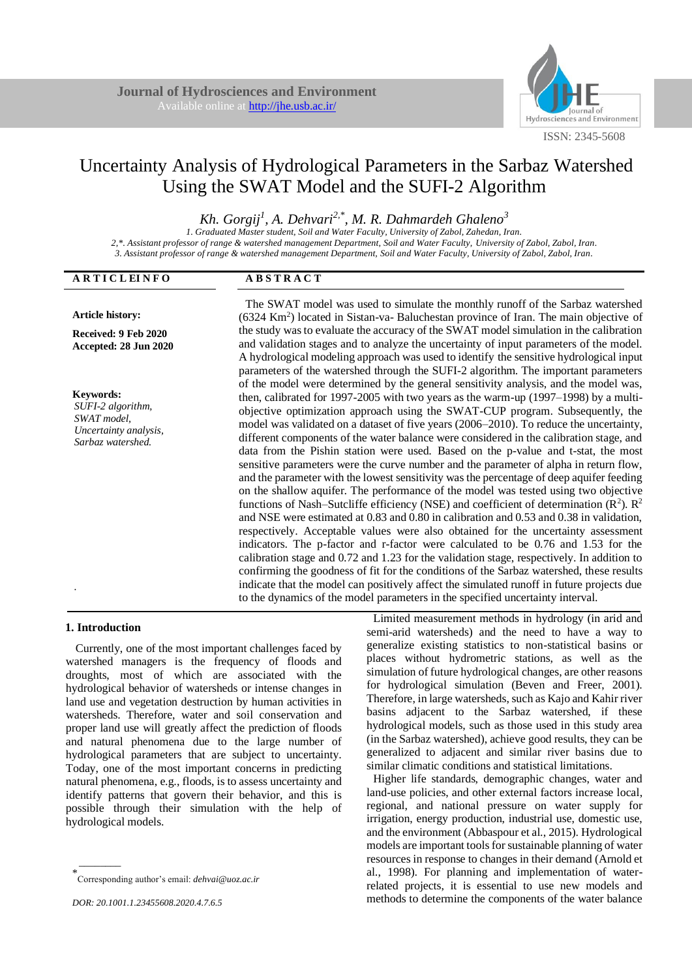**A B S T R A C T**



# Uncertainty Analysis of Hydrological Parameters in the Sarbaz Watershed Using the SWAT Model and the SUFI-2 Algorithm

*Kh. Gorgij<sup>1</sup> , A. Dehvari2,\*, M. R. Dahmardeh Ghaleno<sup>3</sup>*

*1. Graduated Master student, Soil and Water Faculty, University of Zabol, Zahedan, Iran. 2,\*. Assistant professor of range & watershed management Department, Soil and Water Faculty, University of Zabol, Zabol, Iran. 3. Assistant professor of range & watershed management Department, Soil and Water Faculty, University of Zabol, Zabol, Iran.*

| авнестан о                                                                                         | лрэівлеі                                                                                                                                                                                                                                                                                                                                                                                                                                                                                                                                                                                                                                                                                                                                                                                                                                                                                                                                                                                                                                                                                                                                                                                                                                                                                                                                                                                                                                                                                                                                                                 |
|----------------------------------------------------------------------------------------------------|--------------------------------------------------------------------------------------------------------------------------------------------------------------------------------------------------------------------------------------------------------------------------------------------------------------------------------------------------------------------------------------------------------------------------------------------------------------------------------------------------------------------------------------------------------------------------------------------------------------------------------------------------------------------------------------------------------------------------------------------------------------------------------------------------------------------------------------------------------------------------------------------------------------------------------------------------------------------------------------------------------------------------------------------------------------------------------------------------------------------------------------------------------------------------------------------------------------------------------------------------------------------------------------------------------------------------------------------------------------------------------------------------------------------------------------------------------------------------------------------------------------------------------------------------------------------------|
| <b>Article history:</b>                                                                            | The SWAT model was used to simulate the monthly runoff of the Sarbaz watershed<br>$(6324 \text{ Km}^2)$ located in Sistan-va- Baluchestan province of Iran. The main objective of                                                                                                                                                                                                                                                                                                                                                                                                                                                                                                                                                                                                                                                                                                                                                                                                                                                                                                                                                                                                                                                                                                                                                                                                                                                                                                                                                                                        |
| Received: 9 Feb 2020<br>Accepted: 28 Jun 2020                                                      | the study was to evaluate the accuracy of the SWAT model simulation in the calibration<br>and validation stages and to analyze the uncertainty of input parameters of the model.<br>A hydrological modeling approach was used to identify the sensitive hydrological input                                                                                                                                                                                                                                                                                                                                                                                                                                                                                                                                                                                                                                                                                                                                                                                                                                                                                                                                                                                                                                                                                                                                                                                                                                                                                               |
| <b>Keywords:</b><br>SUFI-2 algorithm,<br>SWAT model,<br>Uncertainty analysis,<br>Sarbaz watershed. | parameters of the watershed through the SUFI-2 algorithm. The important parameters<br>of the model were determined by the general sensitivity analysis, and the model was,<br>then, calibrated for 1997-2005 with two years as the warm-up $(1997-1998)$ by a multi-<br>objective optimization approach using the SWAT-CUP program. Subsequently, the<br>model was validated on a dataset of five years (2006–2010). To reduce the uncertainty,<br>different components of the water balance were considered in the calibration stage, and<br>data from the Pishin station were used. Based on the p-value and t-stat, the most<br>sensitive parameters were the curve number and the parameter of alpha in return flow,<br>and the parameter with the lowest sensitivity was the percentage of deep aquifer feeding<br>on the shallow aquifer. The performance of the model was tested using two objective<br>functions of Nash-Sutcliffe efficiency (NSE) and coefficient of determination $(R^2)$ . $R^2$<br>and NSE were estimated at 0.83 and 0.80 in calibration and 0.53 and 0.38 in validation,<br>respectively. Acceptable values were also obtained for the uncertainty assessment<br>indicators. The p-factor and r-factor were calculated to be 0.76 and 1.53 for the<br>calibration stage and 0.72 and 1.23 for the validation stage, respectively. In addition to<br>confirming the goodness of fit for the conditions of the Sarbaz watershed, these results<br>indicate that the model can positively affect the simulated runoff in future projects due |
|                                                                                                    | to the dynamics of the model parameters in the specified uncertainty interval.                                                                                                                                                                                                                                                                                                                                                                                                                                                                                                                                                                                                                                                                                                                                                                                                                                                                                                                                                                                                                                                                                                                                                                                                                                                                                                                                                                                                                                                                                           |

# **1. Introduction**

 $\overline{\phantom{a}}$ 

**A R T I C L EI N F O**

Currently, one of the most important challenges faced by watershed managers is the frequency of floods and droughts, most of which are associated with the hydrological behavior of watersheds or intense changes in land use and vegetation destruction by human activities in watersheds. Therefore, water and soil conservation and proper land use will greatly affect the prediction of floods and natural phenomena due to the large number of hydrological parameters that are subject to uncertainty. Today, one of the most important concerns in predicting natural phenomena, e.g., floods, is to assess uncertainty and identify patterns that govern their behavior, and this is possible through their simulation with the help of hydrological models.

Limited measurement methods in hydrology (in arid and semi-arid watersheds) and the need to have a way to generalize existing statistics to non-statistical basins or places without hydrometric stations, as well as the simulation of future hydrological changes, are other reasons for hydrological simulation (Beven and Freer, 2001). Therefore, in large watersheds, such as Kajo and Kahir river basins adjacent to the Sarbaz watershed, if these hydrological models, such as those used in this study area (in the Sarbaz watershed), achieve good results, they can be generalized to adjacent and similar river basins due to similar climatic conditions and statistical limitations.

Higher life standards, demographic changes, water and land-use policies, and other external factors increase local, regional, and national pressure on water supply for irrigation, energy production, industrial use, domestic use, and the environment (Abbaspour et al., 2015). Hydrological models are important tools for sustainable planning of water resources in response to changes in their demand (Arnold et al., 1998). For planning and implementation of waterrelated projects, it is essential to use new models and methods to determine the components of the water balance

<sup>\*</sup> Corresponding author's email: *dehvai@uoz.ac.ir*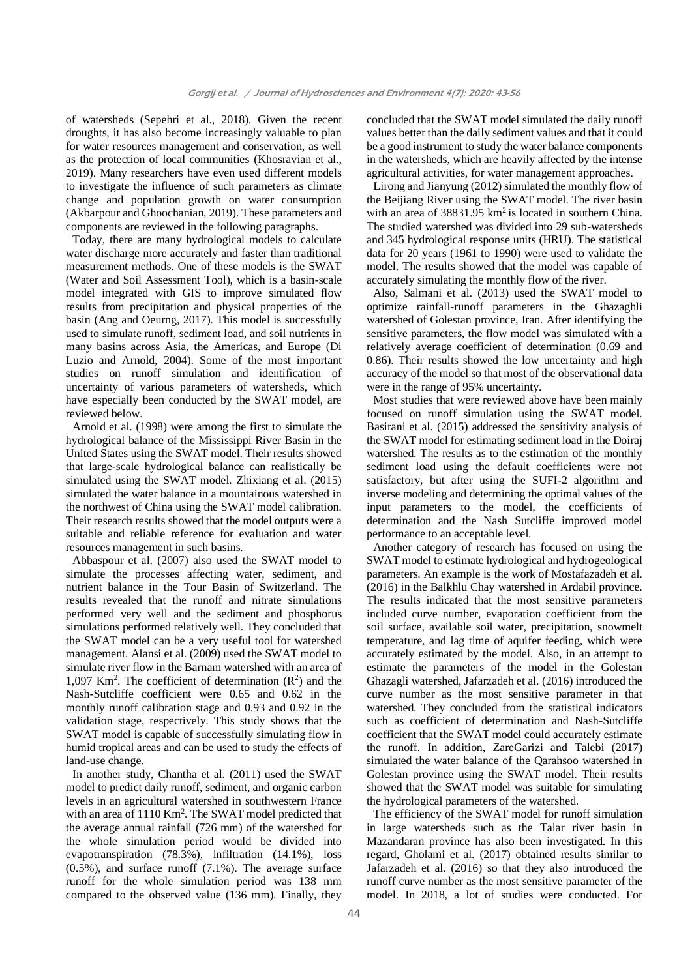of watersheds (Sepehri et al., 2018). Given the recent droughts, it has also become increasingly valuable to plan for water resources management and conservation, as well as the protection of local communities (Khosravian et al., 2019). Many researchers have even used different models to investigate the influence of such parameters as climate change and population growth on water consumption (Akbarpour and Ghoochanian, 2019). These parameters and components are reviewed in the following paragraphs.

Today, there are many hydrological models to calculate water discharge more accurately and faster than traditional measurement methods. One of these models is the SWAT (Water and Soil Assessment Tool), which is a basin-scale model integrated with GIS to improve simulated flow results from precipitation and physical properties of the basin (Ang and Oeurng, 2017). This model is successfully used to simulate runoff, sediment load, and soil nutrients in many basins across Asia, the Americas, and Europe (Di Luzio and Arnold, 2004). Some of the most important studies on runoff simulation and identification of uncertainty of various parameters of watersheds, which have especially been conducted by the SWAT model, are reviewed below.

Arnold et al. (1998) were among the first to simulate the hydrological balance of the Mississippi River Basin in the United States using the SWAT model. Their results showed that large-scale hydrological balance can realistically be simulated using the SWAT model. Zhixiang et al. (2015) simulated the water balance in a mountainous watershed in the northwest of China using the SWAT model calibration. Their research results showed that the model outputs were a suitable and reliable reference for evaluation and water resources management in such basins.

Abbaspour et al. (2007) also used the SWAT model to simulate the processes affecting water, sediment, and nutrient balance in the Tour Basin of Switzerland. The results revealed that the runoff and nitrate simulations performed very well and the sediment and phosphorus simulations performed relatively well. They concluded that the SWAT model can be a very useful tool for watershed management. Alansi et al. (2009) used the SWAT model to simulate river flow in the Barnam watershed with an area of 1,097 Km<sup>2</sup>. The coefficient of determination  $(R^2)$  and the Nash-Sutcliffe coefficient were 0.65 and 0.62 in the monthly runoff calibration stage and 0.93 and 0.92 in the validation stage, respectively. This study shows that the SWAT model is capable of successfully simulating flow in humid tropical areas and can be used to study the effects of land-use change.

In another study, Chantha et al. (2011) used the SWAT model to predict daily runoff, sediment, and organic carbon levels in an agricultural watershed in southwestern France with an area of 1110 Km<sup>2</sup>. The SWAT model predicted that the average annual rainfall (726 mm) of the watershed for the whole simulation period would be divided into evapotranspiration (78.3%), infiltration (14.1%), loss (0.5%), and surface runoff (7.1%). The average surface runoff for the whole simulation period was 138 mm compared to the observed value (136 mm). Finally, they

concluded that the SWAT model simulated the daily runoff values better than the daily sediment values and that it could be a good instrument to study the water balance components in the watersheds, which are heavily affected by the intense agricultural activities, for water management approaches.

Lirong and Jianyung (2012) simulated the monthly flow of the Beijiang River using the SWAT model. The river basin with an area of  $38831.95 \text{ km}^2$  is located in southern China. The studied watershed was divided into 29 sub-watersheds and 345 hydrological response units (HRU). The statistical data for 20 years (1961 to 1990) were used to validate the model. The results showed that the model was capable of accurately simulating the monthly flow of the river.

Also, Salmani et al. (2013) used the SWAT model to optimize rainfall-runoff parameters in the Ghazaghli watershed of Golestan province, Iran. After identifying the sensitive parameters, the flow model was simulated with a relatively average coefficient of determination (0.69 and 0.86). Their results showed the low uncertainty and high accuracy of the model so that most of the observational data were in the range of 95% uncertainty.

Most studies that were reviewed above have been mainly focused on runoff simulation using the SWAT model. Basirani et al. (2015) addressed the sensitivity analysis of the SWAT model for estimating sediment load in the Doiraj watershed. The results as to the estimation of the monthly sediment load using the default coefficients were not satisfactory, but after using the SUFI-2 algorithm and inverse modeling and determining the optimal values of the input parameters to the model, the coefficients of determination and the Nash Sutcliffe improved model performance to an acceptable level.

Another category of research has focused on using the SWAT model to estimate hydrological and hydrogeological parameters. An example is the work of Mostafazadeh et al. (2016) in the Balkhlu Chay watershed in Ardabil province. The results indicated that the most sensitive parameters included curve number, evaporation coefficient from the soil surface, available soil water, precipitation, snowmelt temperature, and lag time of aquifer feeding, which were accurately estimated by the model. Also, in an attempt to estimate the parameters of the model in the Golestan Ghazagli watershed, Jafarzadeh et al. (2016) introduced the curve number as the most sensitive parameter in that watershed. They concluded from the statistical indicators such as coefficient of determination and Nash-Sutcliffe coefficient that the SWAT model could accurately estimate the runoff. In addition, ZareGarizi and Talebi (2017) simulated the water balance of the Qarahsoo watershed in Golestan province using the SWAT model. Their results showed that the SWAT model was suitable for simulating the hydrological parameters of the watershed.

The efficiency of the SWAT model for runoff simulation in large watersheds such as the Talar river basin in Mazandaran province has also been investigated. In this regard, Gholami et al. (2017) obtained results similar to Jafarzadeh et al. (2016) so that they also introduced the runoff curve number as the most sensitive parameter of the model. In 2018, a lot of studies were conducted. For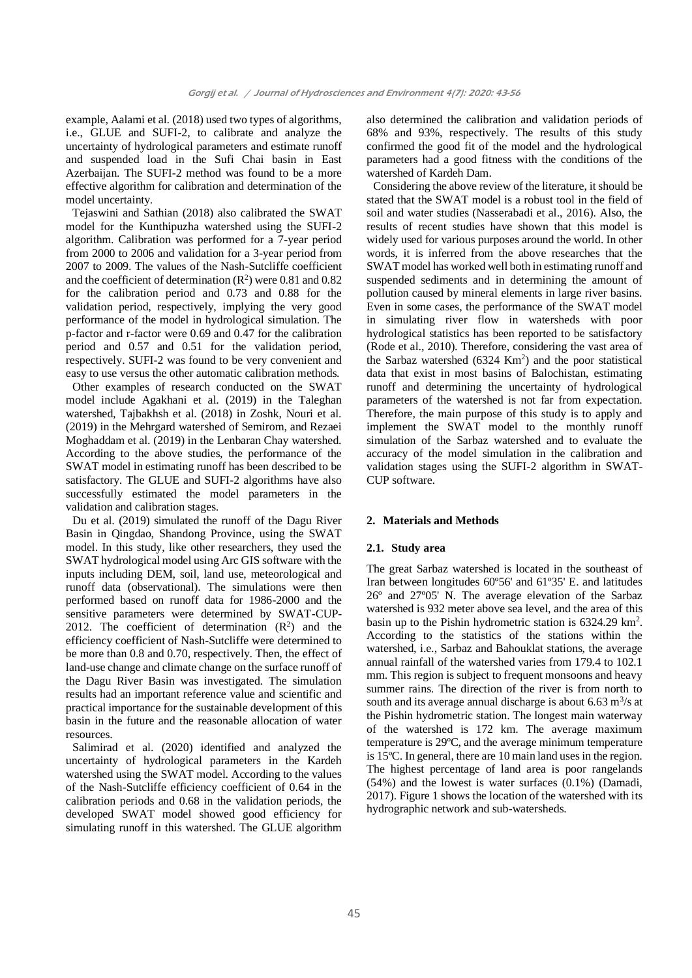example, Aalami et al. (2018) used two types of algorithms, i.e., GLUE and SUFI-2, to calibrate and analyze the uncertainty of hydrological parameters and estimate runoff and suspended load in the Sufi Chai basin in East Azerbaijan. The SUFI-2 method was found to be a more effective algorithm for calibration and determination of the model uncertainty.

Tejaswini and Sathian (2018) also calibrated the SWAT model for the Kunthipuzha watershed using the SUFI-2 algorithm. Calibration was performed for a 7-year period from 2000 to 2006 and validation for a 3-year period from 2007 to 2009. The values of the Nash-Sutcliffe coefficient and the coefficient of determination  $(R^2)$  were 0.81 and 0.82 for the calibration period and 0.73 and 0.88 for the validation period, respectively, implying the very good performance of the model in hydrological simulation. The p-factor and r-factor were 0.69 and 0.47 for the calibration period and 0.57 and 0.51 for the validation period, respectively. SUFI-2 was found to be very convenient and easy to use versus the other automatic calibration methods.

Other examples of research conducted on the SWAT model include Agakhani et al. (2019) in the Taleghan watershed, Tajbakhsh et al. (2018) in Zoshk, Nouri et al. (2019) in the Mehrgard watershed of Semirom, and Rezaei Moghaddam et al. (2019) in the Lenbaran Chay watershed. According to the above studies, the performance of the SWAT model in estimating runoff has been described to be satisfactory. The GLUE and SUFI-2 algorithms have also successfully estimated the model parameters in the validation and calibration stages.

Du et al. (2019) simulated the runoff of the Dagu River Basin in Qingdao, Shandong Province, using the SWAT model. In this study, like other researchers, they used the SWAT hydrological model using Arc GIS software with the inputs including DEM, soil, land use, meteorological and runoff data (observational). The simulations were then performed based on runoff data for 1986-2000 and the sensitive parameters were determined by SWAT-CUP-2012. The coefficient of determination  $(R^2)$  and the efficiency coefficient of Nash-Sutcliffe were determined to be more than 0.8 and 0.70, respectively. Then, the effect of land-use change and climate change on the surface runoff of the Dagu River Basin was investigated. The simulation results had an important reference value and scientific and practical importance for the sustainable development of this basin in the future and the reasonable allocation of water resources.

Salimirad et al. (2020) identified and analyzed the uncertainty of hydrological parameters in the Kardeh watershed using the SWAT model. According to the values of the Nash-Sutcliffe efficiency coefficient of 0.64 in the calibration periods and 0.68 in the validation periods, the developed SWAT model showed good efficiency for simulating runoff in this watershed. The GLUE algorithm

also determined the calibration and validation periods of 68% and 93%, respectively. The results of this study confirmed the good fit of the model and the hydrological parameters had a good fitness with the conditions of the watershed of Kardeh Dam.

Considering the above review of the literature, it should be stated that the SWAT model is a robust tool in the field of soil and water studies (Nasserabadi et al., 2016). Also, the results of recent studies have shown that this model is widely used for various purposes around the world. In other words, it is inferred from the above researches that the SWAT model has worked well both in estimating runoff and suspended sediments and in determining the amount of pollution caused by mineral elements in large river basins. Even in some cases, the performance of the SWAT model in simulating river flow in watersheds with poor hydrological statistics has been reported to be satisfactory (Rode et al., 2010). Therefore, considering the vast area of the Sarbaz watershed  $(6324 \text{ Km}^2)$  and the poor statistical data that exist in most basins of Balochistan, estimating runoff and determining the uncertainty of hydrological parameters of the watershed is not far from expectation. Therefore, the main purpose of this study is to apply and implement the SWAT model to the monthly runoff simulation of the Sarbaz watershed and to evaluate the accuracy of the model simulation in the calibration and validation stages using the SUFI-2 algorithm in SWAT-CUP software.

# **2. Materials and Methods**

# **2.1. Study area**

The great Sarbaz watershed is located in the southeast of Iran between longitudes 60º56' and 61º35' E. and latitudes 26º and 27º05' N. The average elevation of the Sarbaz watershed is 932 meter above sea level, and the area of this basin up to the Pishin hydrometric station is 6324.29 km<sup>2</sup>. According to the statistics of the stations within the watershed, i.e., Sarbaz and Bahouklat stations, the average annual rainfall of the watershed varies from 179.4 to 102.1 mm. This region is subject to frequent monsoons and heavy summer rains. The direction of the river is from north to south and its average annual discharge is about  $6.63 \text{ m}^3/\text{s}$  at the Pishin hydrometric station. The longest main waterway of the watershed is 172 km. The average maximum temperature is 29ºC, and the average minimum temperature is 15ºC. In general, there are 10 main land uses in the region. The highest percentage of land area is poor rangelands (54%) and the lowest is water surfaces (0.1%) (Damadi, 2017). Figure 1 shows the location of the watershed with its hydrographic network and sub-watersheds.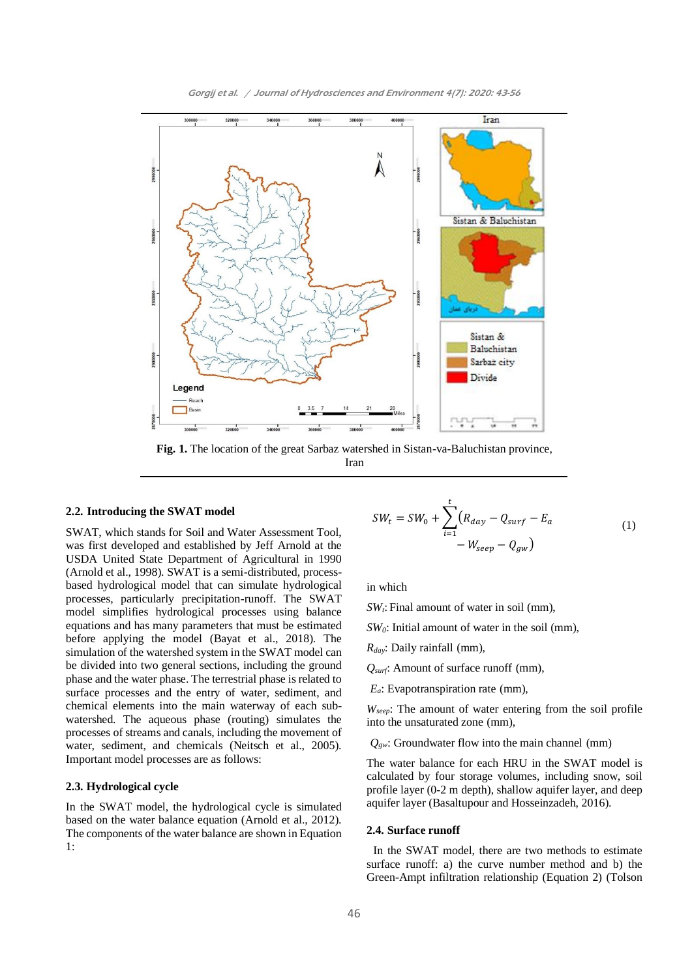



Iran

#### **2.2. Introducing the SWAT model**

SWAT, which stands for Soil and Water Assessment Tool, was first developed and established by Jeff Arnold at the USDA United State Department of Agricultural in 1990 (Arnold et al., 1998). SWAT is a semi-distributed, processbased hydrological model that can simulate hydrological processes, particularly precipitation-runoff. The SWAT model simplifies hydrological processes using balance equations and has many parameters that must be estimated before applying the model (Bayat et al., 2018). The simulation of the watershed system in the SWAT model can be divided into two general sections, including the ground phase and the water phase. The terrestrial phase is related to surface processes and the entry of water, sediment, and chemical elements into the main waterway of each subwatershed. The aqueous phase (routing) simulates the processes of streams and canals, including the movement of water, sediment, and chemicals (Neitsch et al., 2005). Important model processes are as follows:

# **2.3. Hydrological cycle**

In the SWAT model, the hydrological cycle is simulated based on the water balance equation (Arnold et al., 2012). The components of the water balance are shown in Equation 1:

$$
SW_t = SW_0 + \sum_{i=1}^{t} (R_{day} - Q_{surf} - E_a - (1) - W_{seep} - Q_{gw})
$$

in which

*SWt*: Final amount of water in soil (mm),

*SW0*: Initial amount of water in the soil (mm),

*Rday*: Daily rainfall (mm),

*Qsurf*: Amount of surface runoff (mm),

*Ea*: Evapotranspiration rate (mm),

*Wseep*: The amount of water entering from the soil profile into the unsaturated zone (mm),

*Qgw*: Groundwater flow into the main channel (mm)

The water balance for each HRU in the SWAT model is calculated by four storage volumes, including snow, soil profile layer (0-2 m depth), shallow aquifer layer, and deep aquifer layer (Basaltupour and Hosseinzadeh, 2016).

# **2.4. Surface runoff**

In the SWAT model, there are two methods to estimate surface runoff: a) the curve number method and b) the Green-Ampt infiltration relationship (Equation 2) (Tolson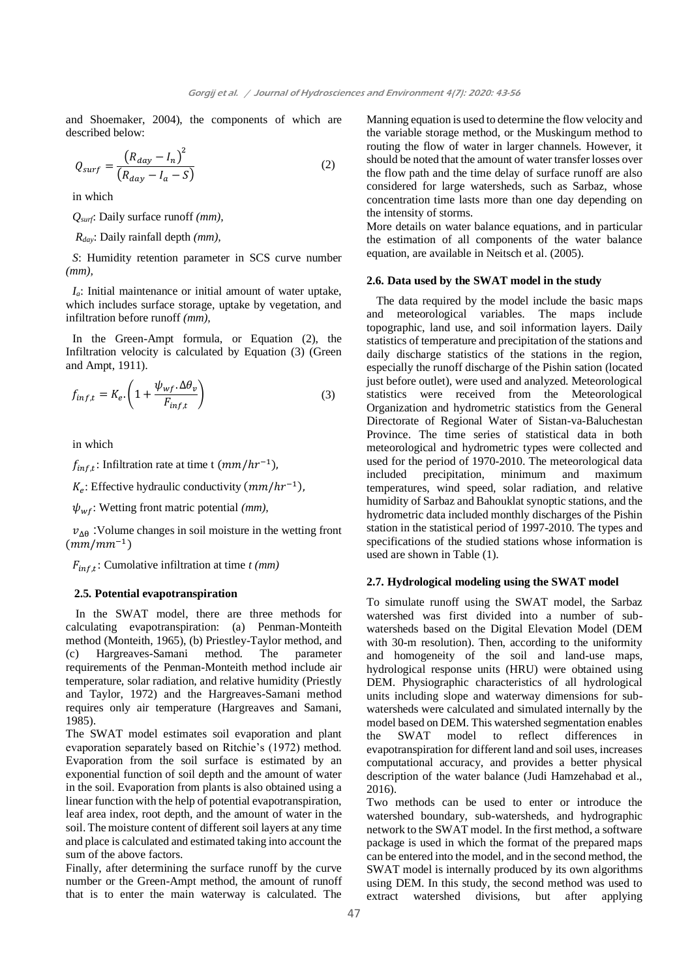and Shoemaker, 2004), the components of which are described below:

$$
Q_{surf} = \frac{\left(R_{day} - I_n\right)^2}{\left(R_{day} - I_a - S\right)}
$$
\n(2)

in which

*Qsurf*: Daily surface runoff *(mm),*

*Rday*: Daily rainfall depth *(mm),*

*S*: Humidity retention parameter in SCS curve number *(mm),*

*Ia*: Initial maintenance or initial amount of water uptake, which includes surface storage, uptake by vegetation, and infiltration before runoff *(mm),*

In the Green-Ampt formula, or Equation (2), the Infiltration velocity is calculated by Equation (3) (Green and Ampt, 1911).

$$
f_{inf,t} = K_e \cdot \left( 1 + \frac{\psi_{wf} \cdot \Delta \theta_v}{F_{inf,t}} \right) \tag{3}
$$

in which

 $f_{inf,t}$ : Infiltration rate at time t  $(mm/hr^{-1})$ ,

 $K_e$ : Effective hydraulic conductivity  $(mm/hr^{-1})$ ,

 $\psi_{wf}$ : Wetting front matric potential *(mm)*,

 $v_{\text{AA}}$  : Volume changes in soil moisture in the wetting front  $(mm/mm^{-1})$ 

 $F_{inf,t}$ : Cumolative infiltration at time *t (mm)* 

# **2.5. Potential evapotranspiration**

In the SWAT model, there are three methods for calculating evapotranspiration: (a) Penman-Monteith method (Monteith, 1965), (b) Priestley-Taylor method, and (c) Hargreaves-Samani method. The parameter requirements of the Penman-Monteith method include air temperature, solar radiation, and relative humidity (Priestly and Taylor, 1972) and the Hargreaves-Samani method requires only air temperature (Hargreaves and Samani, 1985).

The SWAT model estimates soil evaporation and plant evaporation separately based on Ritchie's (1972) method. Evaporation from the soil surface is estimated by an exponential function of soil depth and the amount of water in the soil. Evaporation from plants is also obtained using a linear function with the help of potential evapotranspiration, leaf area index, root depth, and the amount of water in the soil. The moisture content of different soil layers at any time and place is calculated and estimated taking into account the sum of the above factors.

Finally, after determining the surface runoff by the curve number or the Green-Ampt method, the amount of runoff that is to enter the main waterway is calculated. The

Manning equation is used to determine the flow velocity and the variable storage method, or the Muskingum method to routing the flow of water in larger channels. However, it should be noted that the amount of water transfer losses over the flow path and the time delay of surface runoff are also considered for large watersheds, such as Sarbaz, whose concentration time lasts more than one day depending on the intensity of storms.

More details on water balance equations, and in particular the estimation of all components of the water balance equation, are available in Neitsch et al. (2005).

# **2.6. Data used by the SWAT model in the study**

The data required by the model include the basic maps and meteorological variables. The maps include topographic, land use, and soil information layers. Daily statistics of temperature and precipitation of the stations and daily discharge statistics of the stations in the region, especially the runoff discharge of the Pishin sation (located just before outlet), were used and analyzed. Meteorological statistics were received from the Meteorological Organization and hydrometric statistics from the General Directorate of Regional Water of Sistan-va-Baluchestan Province. The time series of statistical data in both meteorological and hydrometric types were collected and used for the period of 1970-2010. The meteorological data included precipitation, minimum and maximum temperatures, wind speed, solar radiation, and relative humidity of Sarbaz and Bahouklat synoptic stations, and the hydrometric data included monthly discharges of the Pishin station in the statistical period of 1997-2010. The types and specifications of the studied stations whose information is used are shown in Table (1).

## **2.7. Hydrological modeling using the SWAT model**

To simulate runoff using the SWAT model, the Sarbaz watershed was first divided into a number of subwatersheds based on the Digital Elevation Model (DEM with 30-m resolution). Then, according to the uniformity and homogeneity of the soil and land-use maps, hydrological response units (HRU) were obtained using DEM. Physiographic characteristics of all hydrological units including slope and waterway dimensions for subwatersheds were calculated and simulated internally by the model based on DEM. This watershed segmentation enables the SWAT model to reflect differences in evapotranspiration for different land and soil uses, increases computational accuracy, and provides a better physical description of the water balance (Judi Hamzehabad et al., 2016).

Two methods can be used to enter or introduce the watershed boundary, sub-watersheds, and hydrographic network to the SWAT model. In the first method, a software package is used in which the format of the prepared maps can be entered into the model, and in the second method, the SWAT model is internally produced by its own algorithms using DEM. In this study, the second method was used to extract watershed divisions, but after applying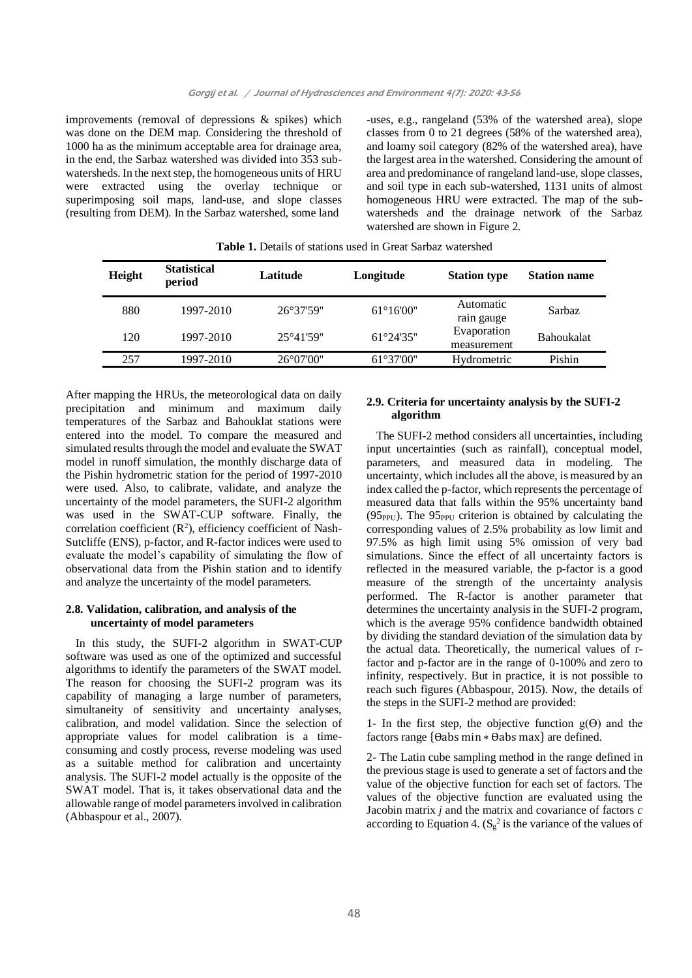improvements (removal of depressions & spikes) which was done on the DEM map. Considering the threshold of 1000 ha as the minimum acceptable area for drainage area, in the end, the Sarbaz watershed was divided into 353 subwatersheds. In the next step, the homogeneous units of HRU were extracted using the overlay technique or superimposing soil maps, land-use, and slope classes (resulting from DEM). In the Sarbaz watershed, some land

-uses, e.g., rangeland (53% of the watershed area), slope classes from 0 to 21 degrees (58% of the watershed area), and loamy soil category (82% of the watershed area), have the largest area in the watershed. Considering the amount of area and predominance of rangeland land-use, slope classes, and soil type in each sub-watershed, 1131 units of almost homogeneous HRU were extracted. The map of the subwatersheds and the drainage network of the Sarbaz watershed are shown in Figure 2.

| Height | <b>Statistical</b><br>period | Latitude            | Longitude           | <b>Station type</b>        | <b>Station name</b> |  |
|--------|------------------------------|---------------------|---------------------|----------------------------|---------------------|--|
| 880    | 1997-2010                    | 26°37'59"           | $61^{\circ}16'00''$ | Automatic<br>rain gauge    | Sarbaz              |  |
| 120    | 1997-2010                    | $25^{\circ}41'59"$  | $61^{\circ}24'35"$  | Evaporation<br>measurement | <b>Bahoukalat</b>   |  |
| 257    | 1997-2010                    | $26^{\circ}07'00''$ | $61^{\circ}37'00''$ | Hydrometric                | Pishin              |  |

**Table 1.** Details of stations used in Great Sarbaz watershed

After mapping the HRUs, the meteorological data on daily precipitation and minimum and maximum daily temperatures of the Sarbaz and Bahouklat stations were entered into the model. To compare the measured and simulated results through the model and evaluate the SWAT model in runoff simulation, the monthly discharge data of the Pishin hydrometric station for the period of 1997-2010 were used. Also, to calibrate, validate, and analyze the uncertainty of the model parameters, the SUFI-2 algorithm was used in the SWAT-CUP software. Finally, the correlation coefficient  $(R^2)$ , efficiency coefficient of Nash-Sutcliffe (ENS), p-factor, and R-factor indices were used to evaluate the model's capability of simulating the flow of observational data from the Pishin station and to identify and analyze the uncertainty of the model parameters.

# **2.8. Validation, calibration, and analysis of the uncertainty of model parameters**

In this study, the SUFI-2 algorithm in SWAT-CUP software was used as one of the optimized and successful algorithms to identify the parameters of the SWAT model. The reason for choosing the SUFI-2 program was its capability of managing a large number of parameters, simultaneity of sensitivity and uncertainty analyses, calibration, and model validation. Since the selection of appropriate values for model calibration is a timeconsuming and costly process, reverse modeling was used as a suitable method for calibration and uncertainty analysis. The SUFI-2 model actually is the opposite of the SWAT model. That is, it takes observational data and the allowable range of model parameters involved in calibration (Abbaspour et al., 2007).

# **2.9. Criteria for uncertainty analysis by the SUFI-2 algorithm**

The SUFI-2 method considers all uncertainties, including input uncertainties (such as rainfall), conceptual model, parameters, and measured data in modeling. The uncertainty, which includes all the above, is measured by an index called the p-factor, which represents the percentage of measured data that falls within the 95% uncertainty band  $(95<sub>PPU</sub>)$ . The  $95<sub>PPU</sub>$  criterion is obtained by calculating the corresponding values of 2.5% probability as low limit and 97.5% as high limit using 5% omission of very bad simulations. Since the effect of all uncertainty factors is reflected in the measured variable, the p-factor is a good measure of the strength of the uncertainty analysis performed. The R-factor is another parameter that determines the uncertainty analysis in the SUFI-2 program, which is the average 95% confidence bandwidth obtained by dividing the standard deviation of the simulation data by the actual data. Theoretically, the numerical values of rfactor and p-factor are in the range of 0-100% and zero to infinity, respectively. But in practice, it is not possible to reach such figures (Abbaspour, 2015). Now, the details of the steps in the SUFI-2 method are provided:

1- In the first step, the objective function  $g(\theta)$  and the factors range  $\{\theta$ abs min  $*$   $\theta$ abs max} are defined.

2- The Latin cube sampling method in the range defined in the previous stage is used to generate a set of factors and the value of the objective function for each set of factors. The values of the objective function are evaluated using the Jacobin matrix *j* and the matrix and covariance of factors *c* according to Equation 4.  $(S_g^2)$  is the variance of the values of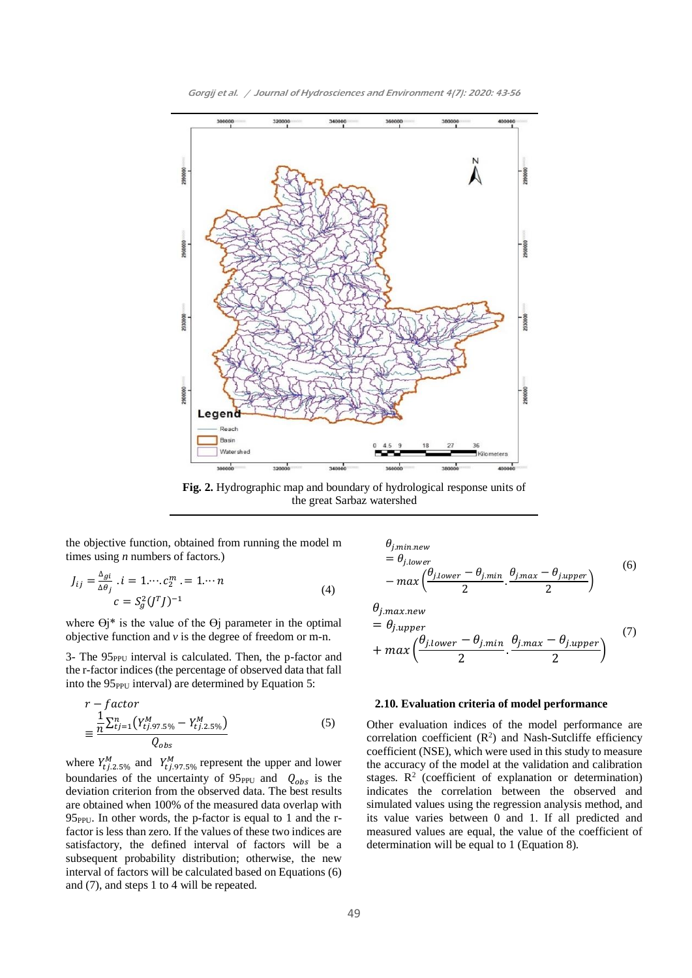

Gorgij et al. / Journal of Hydrosciences and Environment 4(7): 2020: 43-56

**Fig. 2.** Hydrographic map and boundary of hydrological response units of the great Sarbaz watershed

the objective function, obtained from running the model m times using *n* numbers of factors.)

$$
J_{ij} = \frac{\Delta_{gi}}{\Delta \theta_j} \cdot i = 1 \cdots c_2^m = 1 \cdots n
$$
  

$$
c = S_g^2 (J^T J)^{-1}
$$
 (4)

where  $\Theta$ j\* is the value of the  $\Theta$ j parameter in the optimal objective function and *v* is the degree of freedom or m-n.

3- The 95<sub>PPU</sub> interval is calculated. Then, the p-factor and the r-factor indices (the percentage of observed data that fall into the  $95<sub>PPU</sub>$  interval) are determined by Equation 5:

$$
r - factor
$$
  
= 
$$
\frac{\frac{1}{n} \sum_{t=1}^{n} (Y_{tj.97.5\%}^{M} - Y_{tj.2.5\%}^{M})}{Q_{obs}}
$$
 (5)

where  $Y_{tj.2.5\%}^{M}$  and  $Y_{tj.97.5\%}^{M}$  represent the upper and lower boundaries of the uncertainty of  $95_{\text{PPU}}$  and  $Q_{obs}$  is the deviation criterion from the observed data. The best results are obtained when 100% of the measured data overlap with  $95<sub>PPU</sub>$ . In other words, the p-factor is equal to 1 and the rfactor is less than zero. If the values of these two indices are satisfactory, the defined interval of factors will be a subsequent probability distribution; otherwise, the new interval of factors will be calculated based on Equations (6) and (7), and steps 1 to 4 will be repeated.

$$
\theta_{j.min,new} = \theta_{j.lower} = \theta_{j.lower} - \max\left(\frac{\theta_{j.lower} - \theta_{j.min}}{2}, \frac{\theta_{j.max} - \theta_{j.upper}}{2}\right)
$$
\n
$$
\theta_{j.max.new} \tag{6}
$$

$$
= \theta_{j.upper} + max\left(\frac{\theta_{j.lower} - \theta_{j.min}}{2} \cdot \frac{\theta_{j.max} - \theta_{j.upper}}{2}\right)
$$
\n(7)

# **2.10. Evaluation criteria of model performance**

Other evaluation indices of the model performance are correlation coefficient  $(R^2)$  and Nash-Sutcliffe efficiency coefficient (NSE), which were used in this study to measure the accuracy of the model at the validation and calibration stages.  $\mathbb{R}^2$  (coefficient of explanation or determination) indicates the correlation between the observed and simulated values using the regression analysis method, and its value varies between 0 and 1. If all predicted and measured values are equal, the value of the coefficient of determination will be equal to 1 (Equation 8).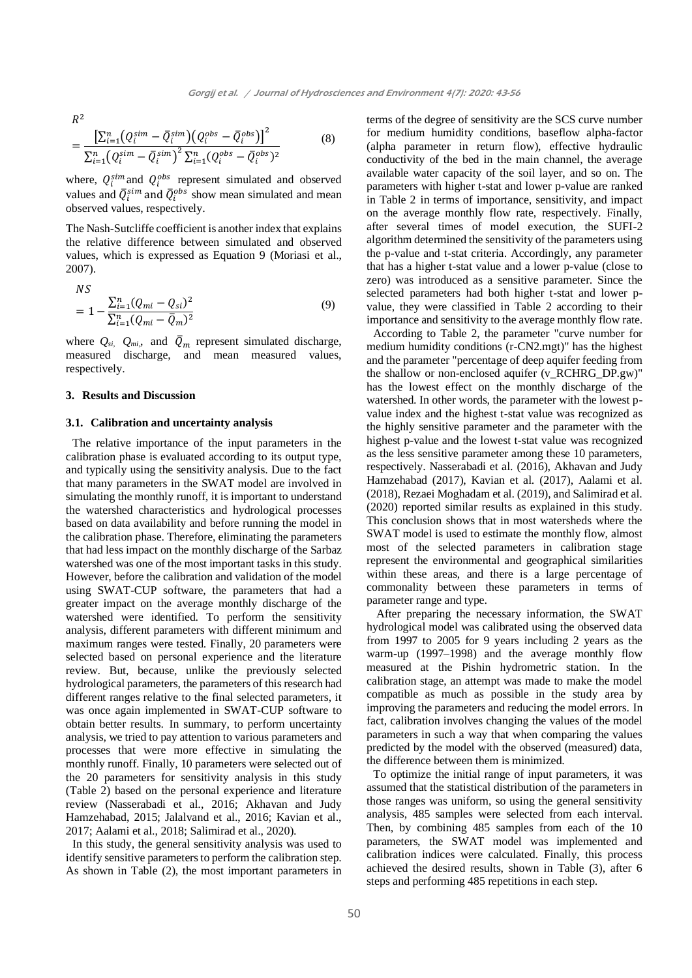$R^2$ 

$$
= \frac{\left[\sum_{i=1}^{n} (Q_i^{\text{sim}} - \bar{Q}_i^{\text{sim}}) (Q_i^{\text{obs}} - \bar{Q}_i^{\text{obs}})\right]^2}{\sum_{i=1}^{n} (Q_i^{\text{sim}} - \bar{Q}_i^{\text{sim}})^2 \sum_{i=1}^{n} (Q_i^{\text{obs}} - \bar{Q}_i^{\text{obs}})^2}
$$
(8)

where,  $Q_i^{sim}$  and  $Q_i^{obs}$  represent simulated and observed values and  $\overline{Q}_i^{sim}$  and  $\overline{Q}_i^{obs}$  show mean simulated and mean observed values, respectively.

The Nash-Sutcliffe coefficient is another index that explains the relative difference between simulated and observed values, which is expressed as Equation 9 (Moriasi et al., 2007).

$$
NS
$$
  
=  $1 - \frac{\sum_{i=1}^{n} (Q_{mi} - Q_{si})^2}{\sum_{i=1}^{n} (Q_{mi} - \bar{Q}_m)^2}$  (9)

where  $Q_{si}$ ,  $Q_{mi}$ , and  $\overline{Q}_m$  represent simulated discharge, measured discharge, and mean measured values, respectively.

# **3. Results and Discussion**

#### **3.1. Calibration and uncertainty analysis**

The relative importance of the input parameters in the calibration phase is evaluated according to its output type, and typically using the sensitivity analysis. Due to the fact that many parameters in the SWAT model are involved in simulating the monthly runoff, it is important to understand the watershed characteristics and hydrological processes based on data availability and before running the model in the calibration phase. Therefore, eliminating the parameters that had less impact on the monthly discharge of the Sarbaz watershed was one of the most important tasks in this study. However, before the calibration and validation of the model using SWAT-CUP software, the parameters that had a greater impact on the average monthly discharge of the watershed were identified. To perform the sensitivity analysis, different parameters with different minimum and maximum ranges were tested. Finally, 20 parameters were selected based on personal experience and the literature review. But, because, unlike the previously selected hydrological parameters, the parameters of this research had different ranges relative to the final selected parameters, it was once again implemented in SWAT-CUP software to obtain better results. In summary, to perform uncertainty analysis, we tried to pay attention to various parameters and processes that were more effective in simulating the monthly runoff. Finally, 10 parameters were selected out of the 20 parameters for sensitivity analysis in this study (Table 2) based on the personal experience and literature review (Nasserabadi et al., 2016; Akhavan and Judy Hamzehabad, 2015; Jalalvand et al., 2016; Kavian et al., 2017; Aalami et al., 2018; Salimirad et al., 2020).

In this study, the general sensitivity analysis was used to identify sensitive parameters to perform the calibration step. As shown in Table (2), the most important parameters in

terms of the degree of sensitivity are the SCS curve number for medium humidity conditions, baseflow alpha-factor (alpha parameter in return flow), effective hydraulic conductivity of the bed in the main channel, the average available water capacity of the soil layer, and so on. The parameters with higher t-stat and lower p-value are ranked in Table 2 in terms of importance, sensitivity, and impact on the average monthly flow rate, respectively. Finally, after several times of model execution, the SUFI-2 algorithm determined the sensitivity of the parameters using the p-value and t-stat criteria. Accordingly, any parameter that has a higher t-stat value and a lower p-value (close to zero) was introduced as a sensitive parameter. Since the selected parameters had both higher t-stat and lower pvalue, they were classified in Table 2 according to their importance and sensitivity to the average monthly flow rate.

According to Table 2, the parameter "curve number for medium humidity conditions (r-CN2.mgt)" has the highest and the parameter "percentage of deep aquifer feeding from the shallow or non-enclosed aquifer (v\_RCHRG\_DP.gw)" has the lowest effect on the monthly discharge of the watershed. In other words, the parameter with the lowest pvalue index and the highest t-stat value was recognized as the highly sensitive parameter and the parameter with the highest p-value and the lowest t-stat value was recognized as the less sensitive parameter among these 10 parameters, respectively. Nasserabadi et al. (2016), Akhavan and Judy Hamzehabad (2017), Kavian et al. (2017), Aalami et al. (2018), Rezaei Moghadam et al. (2019), and Salimirad et al. (2020) reported similar results as explained in this study. This conclusion shows that in most watersheds where the SWAT model is used to estimate the monthly flow, almost most of the selected parameters in calibration stage represent the environmental and geographical similarities within these areas, and there is a large percentage of commonality between these parameters in terms of parameter range and type.

After preparing the necessary information, the SWAT hydrological model was calibrated using the observed data from 1997 to 2005 for 9 years including 2 years as the warm-up (1997–1998) and the average monthly flow measured at the Pishin hydrometric station. In the calibration stage, an attempt was made to make the model compatible as much as possible in the study area by improving the parameters and reducing the model errors. In fact, calibration involves changing the values of the model parameters in such a way that when comparing the values predicted by the model with the observed (measured) data, the difference between them is minimized.

To optimize the initial range of input parameters, it was assumed that the statistical distribution of the parameters in those ranges was uniform, so using the general sensitivity analysis, 485 samples were selected from each interval. Then, by combining 485 samples from each of the 10 parameters, the SWAT model was implemented and calibration indices were calculated. Finally, this process achieved the desired results, shown in Table (3), after 6 steps and performing 485 repetitions in each step.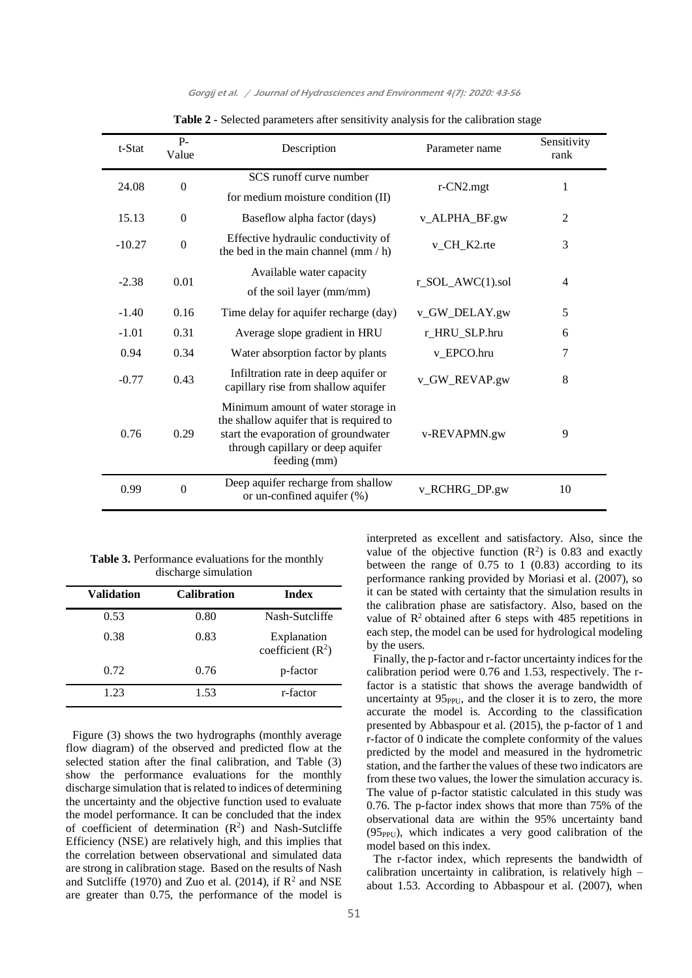| t-Stat   | $P-$<br>Value    | Description                                                                                                                                                                | Parameter name       | Sensitivity<br>rank |
|----------|------------------|----------------------------------------------------------------------------------------------------------------------------------------------------------------------------|----------------------|---------------------|
| 24.08    | $\boldsymbol{0}$ | SCS runoff curve number<br>for medium moisture condition (II)                                                                                                              | r-CN2.mgt            | 1                   |
| 15.13    | $\overline{0}$   | Baseflow alpha factor (days)                                                                                                                                               | v_ALPHA_BF.gw        | $\overline{2}$      |
| $-10.27$ | $\boldsymbol{0}$ | Effective hydraulic conductivity of<br>the bed in the main channel $(mm / h)$                                                                                              | v_CH_K2.rte          | 3                   |
| $-2.38$  | 0.01             | Available water capacity<br>of the soil layer (mm/mm)                                                                                                                      | $r\_SOL\_AWC(1).sol$ | $\overline{4}$      |
| $-1.40$  | 0.16             | Time delay for aquifer recharge (day)                                                                                                                                      | v_GW_DELAY.gw        | 5                   |
| $-1.01$  | 0.31             | Average slope gradient in HRU                                                                                                                                              | r_HRU_SLP.hru        | 6                   |
| 0.94     | 0.34             | Water absorption factor by plants                                                                                                                                          | v_EPCO.hru           | 7                   |
| $-0.77$  | 0.43             | Infiltration rate in deep aquifer or<br>capillary rise from shallow aquifer                                                                                                | v_GW_REVAP.gw        | 8                   |
| 0.76     | 0.29             | Minimum amount of water storage in<br>the shallow aquifer that is required to<br>start the evaporation of groundwater<br>through capillary or deep aquifer<br>feeding (mm) | v-REVAPMN.gw         | 9                   |
| 0.99     | $\boldsymbol{0}$ | Deep aquifer recharge from shallow<br>or un-confined aquifer (%)                                                                                                           | v_RCHRG_DP.gw        | 10                  |

#### Gorgij et al. / Journal of Hydrosciences and Environment 4(7): 2020: 43-56

| Table 2 - Selected parameters after sensitivity analysis for the calibration stage |
|------------------------------------------------------------------------------------|
|------------------------------------------------------------------------------------|

**Table 3.** Performance evaluations for the monthly discharge simulation

| <b>Validation</b> | <b>Calibration</b> | <b>Index</b>                      |
|-------------------|--------------------|-----------------------------------|
| 0.53              | 0.80               | Nash-Sutcliffe                    |
| 0.38              | 0.83               | Explanation<br>coefficient $(R2)$ |
| 0.72              | 0.76               | p-factor                          |
| 1.23              | 1.53               | r-factor                          |

Figure (3) shows the two hydrographs (monthly average flow diagram) of the observed and predicted flow at the selected station after the final calibration, and Table (3) show the performance evaluations for the monthly discharge simulation that is related to indices of determining the uncertainty and the objective function used to evaluate the model performance. It can be concluded that the index of coefficient of determination  $(R^2)$  and Nash-Sutcliffe Efficiency (NSE) are relatively high, and this implies that the correlation between observational and simulated data are strong in calibration stage. Based on the results of Nash and Sutcliffe (1970) and Zuo et al. (2014), if  $\mathbb{R}^2$  and NSE are greater than 0.75, the performance of the model is

interpreted as excellent and satisfactory. Also, since the value of the objective function  $(R^2)$  is 0.83 and exactly between the range of 0.75 to 1 (0.83) according to its performance ranking provided by Moriasi et al. (2007), so it can be stated with certainty that the simulation results in the calibration phase are satisfactory. Also, based on the value of  $\mathbb{R}^2$  obtained after 6 steps with 485 repetitions in each step, the model can be used for hydrological modeling by the users.

Finally, the p-factor and r-factor uncertainty indices for the calibration period were 0.76 and 1.53, respectively. The rfactor is a statistic that shows the average bandwidth of uncertainty at 95<sub>PPU</sub>, and the closer it is to zero, the more accurate the model is. According to the classification presented by Abbaspour et al. (2015), the p-factor of 1 and r-factor of 0 indicate the complete conformity of the values predicted by the model and measured in the hydrometric station, and the farther the values of these two indicators are from these two values, the lower the simulation accuracy is. The value of p-factor statistic calculated in this study was 0.76. The p-factor index shows that more than 75% of the observational data are within the 95% uncertainty band  $(95<sub>PPU</sub>)$ , which indicates a very good calibration of the model based on this index.

The r-factor index, which represents the bandwidth of calibration uncertainty in calibration, is relatively high – about 1.53. According to Abbaspour et al. (2007), when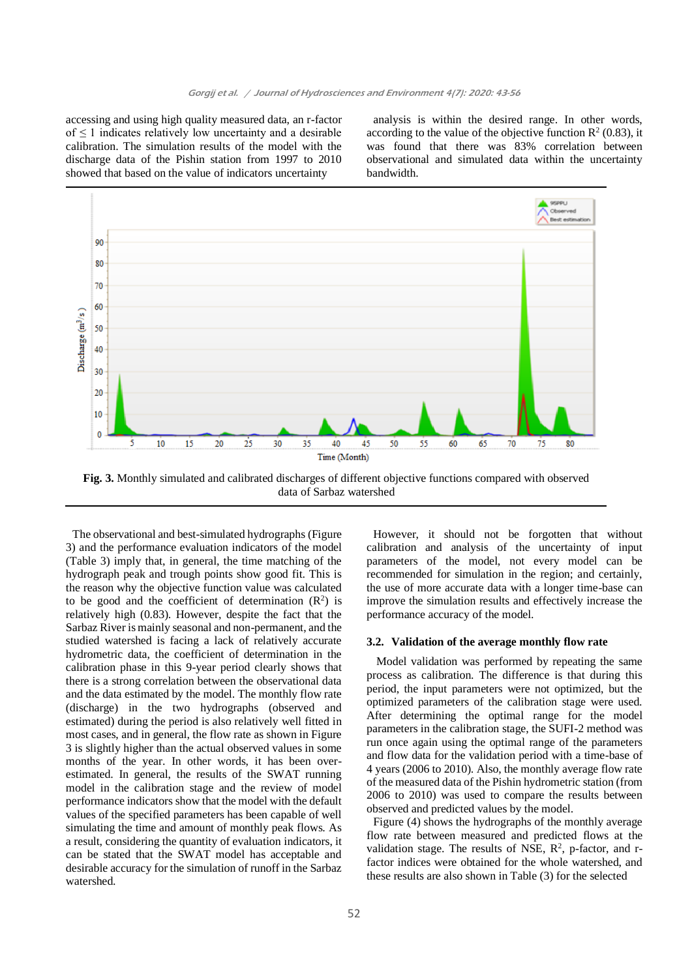accessing and using high quality measured data, an r-factor of  $\leq 1$  indicates relatively low uncertainty and a desirable calibration. The simulation results of the model with the discharge data of the Pishin station from 1997 to 2010 showed that based on the value of indicators uncertainty

analysis is within the desired range. In other words, according to the value of the objective function  $\mathbb{R}^2$  (0.83), it was found that there was 83% correlation between observational and simulated data within the uncertainty bandwidth.



**Fig. 3.** Monthly simulated and calibrated discharges of different objective functions compared with observed data of Sarbaz watershed

The observational and best-simulated hydrographs (Figure 3) and the performance evaluation indicators of the model (Table 3) imply that, in general, the time matching of the hydrograph peak and trough points show good fit. This is the reason why the objective function value was calculated to be good and the coefficient of determination  $(R^2)$  is relatively high (0.83). However, despite the fact that the Sarbaz River is mainly seasonal and non-permanent, and the studied watershed is facing a lack of relatively accurate hydrometric data, the coefficient of determination in the calibration phase in this 9-year period clearly shows that there is a strong correlation between the observational data and the data estimated by the model. The monthly flow rate (discharge) in the two hydrographs (observed and estimated) during the period is also relatively well fitted in most cases, and in general, the flow rate as shown in Figure 3 is slightly higher than the actual observed values in some months of the year. In other words, it has been overestimated. In general, the results of the SWAT running model in the calibration stage and the review of model performance indicators show that the model with the default values of the specified parameters has been capable of well simulating the time and amount of monthly peak flows. As a result, considering the quantity of evaluation indicators, it can be stated that the SWAT model has acceptable and desirable accuracy for the simulation of runoff in the Sarbaz watershed.

parameters of the model, not every model can be recommended for simulation in the region; and certainly, the use of more accurate data with a longer time-base can improve the simulation results and effectively increase the performance accuracy of the model. **3.2. Validation of the average monthly flow rate** 

However, it should not be forgotten that without calibration and analysis of the uncertainty of input

Model validation was performed by repeating the same process as calibration. The difference is that during this period, the input parameters were not optimized, but the optimized parameters of the calibration stage were used. After determining the optimal range for the model parameters in the calibration stage, the SUFI-2 method was run once again using the optimal range of the parameters and flow data for the validation period with a time-base of 4 years (2006 to 2010). Also, the monthly average flow rate of the measured data of the Pishin hydrometric station (from 2006 to 2010) was used to compare the results between observed and predicted values by the model.

Figure (4) shows the hydrographs of the monthly average flow rate between measured and predicted flows at the validation stage. The results of NSE,  $R^2$ , p-factor, and rfactor indices were obtained for the whole watershed, and these results are also shown in Table (3) for the selected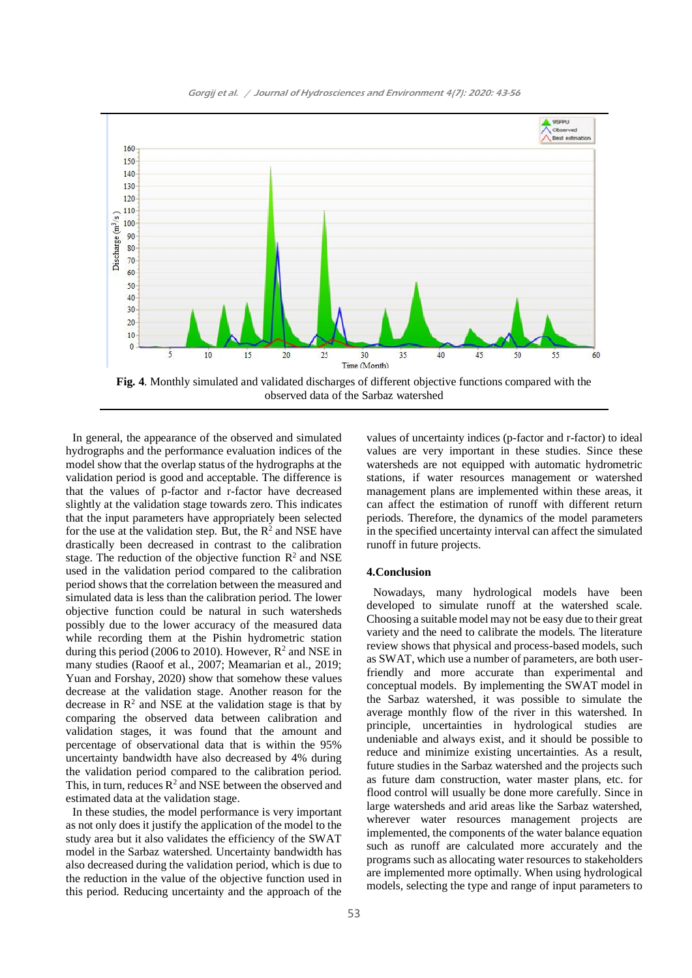

Gorgij et al. / Journal of Hydrosciences and Environment 4(7): 2020: 43-56

**Fig. 4**. Monthly simulated and validated discharges of different objective functions compared with the observed data of the Sarbaz watershed

In general, the appearance of the observed and simulated hydrographs and the performance evaluation indices of the model show that the overlap status of the hydrographs at the validation period is good and acceptable. The difference is that the values of p-factor and r-factor have decreased slightly at the validation stage towards zero. This indicates that the input parameters have appropriately been selected for the use at the validation step. But, the  $R^2$  and NSE have drastically been decreased in contrast to the calibration stage. The reduction of the objective function  $\mathbb{R}^2$  and NSE used in the validation period compared to the calibration period shows that the correlation between the measured and simulated data is less than the calibration period. The lower objective function could be natural in such watersheds possibly due to the lower accuracy of the measured data while recording them at the Pishin hydrometric station during this period (2006 to 2010). However,  $R^2$  and NSE in many studies (Raoof et al., 2007; Meamarian et al., 2019; Yuan and Forshay, 2020) show that somehow these values decrease at the validation stage. Another reason for the decrease in  $\mathbb{R}^2$  and NSE at the validation stage is that by comparing the observed data between calibration and validation stages, it was found that the amount and percentage of observational data that is within the 95% uncertainty bandwidth have also decreased by 4% during the validation period compared to the calibration period. This, in turn, reduces  $R^2$  and NSE between the observed and estimated data at the validation stage.

In these studies, the model performance is very important as not only does it justify the application of the model to the study area but it also validates the efficiency of the SWAT model in the Sarbaz watershed. Uncertainty bandwidth has also decreased during the validation period, which is due to the reduction in the value of the objective function used in this period. Reducing uncertainty and the approach of the

values of uncertainty indices (p-factor and r-factor) to ideal values are very important in these studies. Since these watersheds are not equipped with automatic hydrometric stations, if water resources management or watershed management plans are implemented within these areas, it can affect the estimation of runoff with different return periods. Therefore, the dynamics of the model parameters in the specified uncertainty interval can affect the simulated runoff in future projects.

## **4.Conclusion**

Nowadays, many hydrological models have been developed to simulate runoff at the watershed scale. Choosing a suitable model may not be easy due to their great variety and the need to calibrate the models. The literature review shows that physical and process-based models, such as SWAT, which use a number of parameters, are both userfriendly and more accurate than experimental and conceptual models. By implementing the SWAT model in the Sarbaz watershed, it was possible to simulate the average monthly flow of the river in this watershed. In principle, uncertainties in hydrological studies are undeniable and always exist, and it should be possible to reduce and minimize existing uncertainties. As a result, future studies in the Sarbaz watershed and the projects such as future dam construction, water master plans, etc. for flood control will usually be done more carefully. Since in large watersheds and arid areas like the Sarbaz watershed, wherever water resources management projects are implemented, the components of the water balance equation such as runoff are calculated more accurately and the programs such as allocating water resources to stakeholders are implemented more optimally. When using hydrological models, selecting the type and range of input parameters to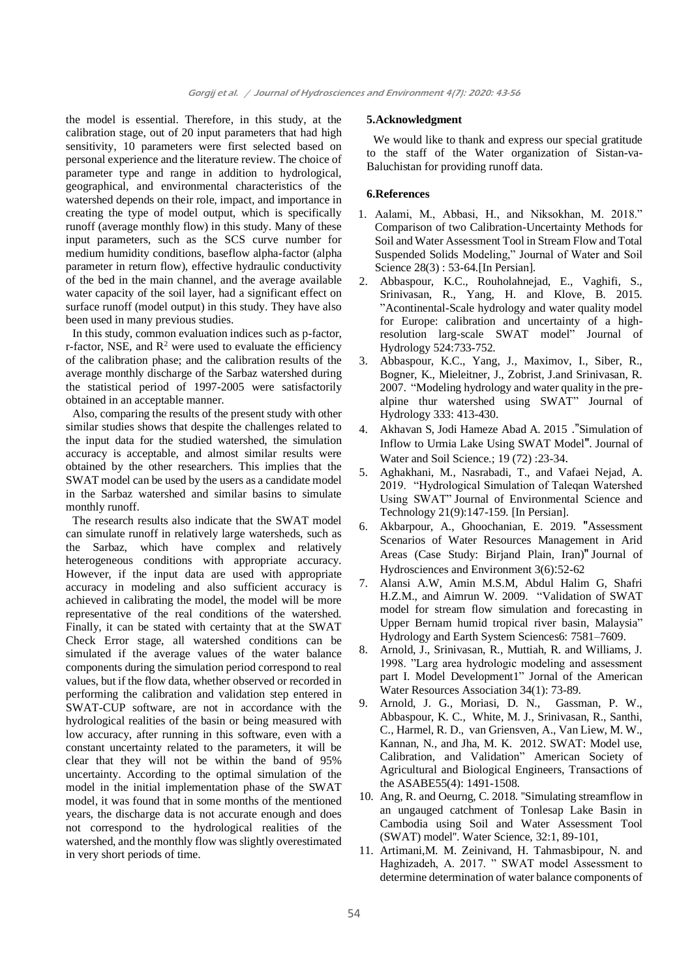the model is essential. Therefore, in this study, at the calibration stage, out of 20 input parameters that had high sensitivity, 10 parameters were first selected based on personal experience and the literature review. The choice of parameter type and range in addition to hydrological, geographical, and environmental characteristics of the watershed depends on their role, impact, and importance in creating the type of model output, which is specifically runoff (average monthly flow) in this study. Many of these input parameters, such as the SCS curve number for medium humidity conditions, baseflow alpha-factor (alpha parameter in return flow), effective hydraulic conductivity of the bed in the main channel, and the average available water capacity of the soil layer, had a significant effect on surface runoff (model output) in this study. They have also been used in many previous studies.

In this study, common evaluation indices such as p-factor, r-factor, NSE, and  $R^2$  were used to evaluate the efficiency of the calibration phase; and the calibration results of the average monthly discharge of the Sarbaz watershed during the statistical period of 1997-2005 were satisfactorily obtained in an acceptable manner.

Also, comparing the results of the present study with other similar studies shows that despite the challenges related to the input data for the studied watershed, the simulation accuracy is acceptable, and almost similar results were obtained by the other researchers. This implies that the SWAT model can be used by the users as a candidate model in the Sarbaz watershed and similar basins to simulate monthly runoff.

The research results also indicate that the SWAT model can simulate runoff in relatively large watersheds, such as the Sarbaz, which have complex and relatively heterogeneous conditions with appropriate accuracy. However, if the input data are used with appropriate accuracy in modeling and also sufficient accuracy is achieved in calibrating the model, the model will be more representative of the real conditions of the watershed. Finally, it can be stated with certainty that at the SWAT Check Error stage, all watershed conditions can be simulated if the average values of the water balance components during the simulation period correspond to real values, but if the flow data, whether observed or recorded in performing the calibration and validation step entered in SWAT-CUP software, are not in accordance with the hydrological realities of the basin or being measured with low accuracy, after running in this software, even with a constant uncertainty related to the parameters, it will be clear that they will not be within the band of 95% uncertainty. According to the optimal simulation of the model in the initial implementation phase of the SWAT model, it was found that in some months of the mentioned years, the discharge data is not accurate enough and does not correspond to the hydrological realities of the watershed, and the monthly flow was slightly overestimated in very short periods of time.

## **5.Acknowledgment**

We would like to thank and express our special gratitude to the staff of the Water organization of Sistan-va-Baluchistan for providing runoff data.

# **6.References**

- 1. Aalami, M., Abbasi, H., and Niksokhan, M. 2018." Comparison of two Calibration-Uncertainty Methods for Soil and Water Assessment Tool in Stream Flow and Total Suspended Solids Modeling," Journal of Water and Soil Science 28(3) : 53-64.[In Persian].
- 2. Abbaspour, K.C., Rouholahnejad, E., Vaghifi, S., Srinivasan, R., Yang, H. and Klove, B. 2015. "Acontinental-Scale hydrology and water quality model for Europe: calibration and uncertainty of a highresolution larg-scale SWAT model" Journal of Hydrology 524:733-752.
- 3. Abbaspour, K.C., Yang, J., Maximov, I., Siber, R., Bogner, K., Mieleitner, J., Zobrist, J.and Srinivasan, R. 2007. "Modeling hydrology and water quality in the prealpine thur watershed using SWAT" Journal of Hydrology 333: 413-430.
- 4. Akhavan S, Jodi Hameze Abad A. 2015 ."Simulation of Inflow to Urmia Lake Using SWAT Model". Journal of Water and Soil Science.; 19 (72) :23-34 .
- 5. Aghakhani, M., Nasrabadi, T., and Vafaei Nejad, A. 2019. "Hydrological Simulation of Taleqan Watershed Using SWAT" Journal of Environmental Science and Technology 21(9):147-159. [In Persian].
- 6. Akbarpour, A., Ghoochanian, E. 2019. "Assessment Scenarios of Water Resources Management in Arid Areas (Case Study: Biriand Plain, Iran)" Journal of Hydrosciences and Environment 3(6):52-62
- 7. Alansi A.W, Amin M.S.M, Abdul Halim G, Shafri H.Z.M., and Aimrun W. 2009. "Validation of SWAT model for stream flow simulation and forecasting in Upper Bernam humid tropical river basin, Malaysia" Hydrology and Earth System Sciences6: 7581–7609.
- 8. Arnold, J., Srinivasan, R., Muttiah, R. and Williams, J. 1998. "Larg area hydrologic modeling and assessment part I. Model Development1" Jornal of the American Water Resources Association 34(1): 73-89.
- 9. Arnold, J. G., Moriasi, D. N., Gassman, P. W., Abbaspour, K. C., White, M. J., Srinivasan, R., Santhi, C., Harmel, R. D., van Griensven, A., Van Liew, M. W., Kannan, N., and Jha, M. K. 2012. SWAT: Model use, Calibration, and Validation" American Society of Agricultural and Biological Engineers, Transactions of the ASABE55(4): 1491-1508.
- 10. Ang, R. and Oeurng, C. 2018. ''Simulating streamflow in an ungauged catchment of Tonlesap Lake Basin in Cambodia using Soil and Water Assessment Tool (SWAT) model''. Water Science, 32:1, 89-101,
- 11. Artimani,M. M. Zeinivand, H. Tahmasbipour, N. and Haghizadeh, A. 2017. " SWAT model Assessment to determine determination of water balance components of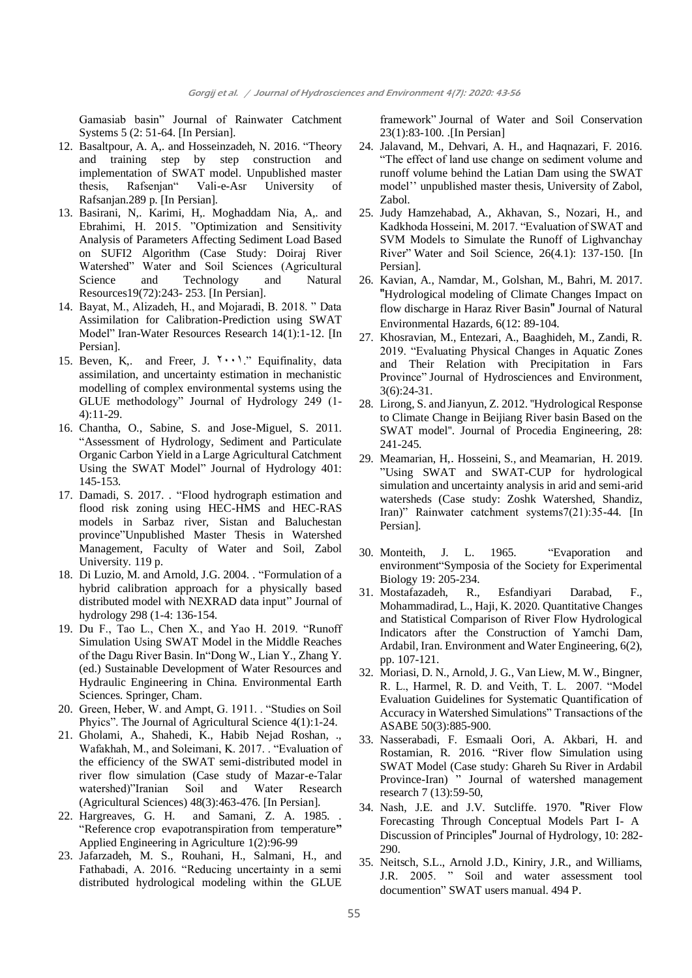Gamasiab basin" Journal of Rainwater Catchment Systems 5 (2: 51-64. [In Persian].

- 12. Basaltpour, A. A,. and Hosseinzadeh, N. 2016. "Theory and training step by step construction and implementation of SWAT model. Unpublished master thesis, Rafsenjan" Vali-e-Asr University of Rafsanjan.289 p. [In Persian].
- 13. Basirani, N,. Karimi, H,. Moghaddam Nia, A,. and Ebrahimi, H. 2015. "Optimization and Sensitivity Analysis of Parameters Affecting Sediment Load Based on SUFI2 Algorithm (Case Study: Doiraj River Watershed" Water and Soil Sciences (Agricultural Science and Technology and Natural Resources19(72):243- 253. [In Persian].
- 14. Bayat, M., Alizadeh, H., and Mojaradi, B. 2018. " Data Assimilation for Calibration-Prediction using SWAT Model" Iran-Water Resources Research 14(1):1-12. [In Persian].
- 15. Beven, K,. and Freer, J.  $\forall \cdot \cdot \cdot$ ." Equifinality, data assimilation, and uncertainty estimation in mechanistic modelling of complex environmental systems using the GLUE methodology" Journal of Hydrology 249 (1- 4):11-29.
- 16. Chantha, O., Sabine, S. and Jose-Miguel, S. 2011. "Assessment of Hydrology, Sediment and Particulate Organic Carbon Yield in a Large Agricultural Catchment Using the SWAT Model" Journal of Hydrology 401: 145-153.
- 17. Damadi, S. 2017. . "Flood hydrograph estimation and flood risk zoning using HEC-HMS and HEC-RAS models in Sarbaz river, Sistan and Baluchestan province"Unpublished Master Thesis in Watershed Management*,* Faculty of Water and Soil, Zabol University. 119 p.
- 18. Di Luzio, M. and Arnold, J.G. 2004. . "Formulation of a hybrid calibration approach for a physically based distributed model with NEXRAD data input" Journal of hydrology 298 (1-4: 136-154.
- 19. Du F., Tao L., Chen X., and Yao H. 2019. "Runoff Simulation Using SWAT Model in the Middle Reaches of the Dagu River Basin. In"Dong W., Lian Y., Zhang Y. (ed.) Sustainable Development of Water Resources and Hydraulic Engineering in China. Environmental Earth Sciences. Springer, Cham.
- 20. Green, Heber, W. and Ampt, G. 1911. . "Studies on Soil Phyics". The Journal of Agricultural Science 4(1):1-24.
- 21. Gholami, A., Shahedi, K., Habib Nejad Roshan, ., Wafakhah, M., and Soleimani, K. 2017. . "Evaluation of the efficiency of the SWAT semi-distributed model in river flow simulation (Case study of Mazar-e-Talar watershed)"Iranian Soil and Water Research (Agricultural Sciences) 48(3):463-476. [In Persian].
- 22. Hargreaves, G. H. and Samani, Z. A. 1985. "Reference crop evapotranspiration from temperature**"** Applied Engineering in Agriculture 1(2):96-99
- 23. Jafarzadeh, M. S., Rouhani, H., Salmani, H., and Fathabadi, A. 2016. "Reducing uncertainty in a semi distributed hydrological modeling within the GLUE

framework" Journal of Water and Soil Conservation 23(1):83-100. .[In Persian]

- 24. Jalavand, M., Dehvari, A. H., and Haqnazari, F. 2016. "The effect of land use change on sediment volume and runoff volume behind the Latian Dam using the SWAT model'' unpublished master thesis, University of Zabol, Zabol.
- 25. Judy Hamzehabad, A., Akhavan, S., Nozari, H., and Kadkhoda Hosseini, M. 2017. "Evaluation of SWAT and SVM Models to Simulate the Runoff of Lighvanchay River" Water and Soil Science, 26(4.1): 137-150. [In Persian].
- 26. Kavian, A., Namdar, M., Golshan, M., Bahri, M. 2017. "Hydrological modeling of Climate Changes Impact on flow discharge in Haraz River Basin" Journal of Natural Environmental Hazards, 6(12: 89-104.
- 27. Khosravian, M., Entezari, A., Baaghideh, M., Zandi, R. 2019. "Evaluating Physical Changes in Aquatic Zones and Their Relation with Precipitation in Fars Province" Journal of Hydrosciences and Environment, 3(6):24-31.
- 28. Lirong, S. and Jianyun, Z. 2012. ''Hydrological Response to Climate Change in Beijiang River basin Based on the SWAT model''. Journal of Procedia Engineering, 28: 241-245.
- 29. Meamarian, H,. Hosseini, S., and Meamarian, H. 2019. "Using SWAT and SWAT-CUP for hydrological simulation and uncertainty analysis in arid and semi-arid watersheds (Case study: Zoshk Watershed, Shandiz, Iran)" Rainwater catchment systems7(21):35-44. [In Persian].
- 30. Monteith, J. L. 1965. "Evaporation and environment"Symposia of the Society for Experimental Biology 19: 205-234.
- 31. Mostafazadeh, R., Esfandiyari Darabad, F., Mohammadirad, L., Haji, K. 2020. Quantitative Changes and Statistical Comparison of River Flow Hydrological Indicators after the Construction of Yamchi Dam, Ardabil, Iran. Environment and Water Engineering, 6(2), pp. 107-121.
- 32. Moriasi, D. N., Arnold, J. G., Van Liew, M. W., Bingner, R. L., Harmel, R. D. and Veith, T. L. 2007. "Model Evaluation Guidelines for Systematic Quantification of Accuracy in Watershed Simulations" Transactions of the ASABE 50(3):885-900.
- 33. Nasserabadi, F. Esmaali Oori, A. Akbari, H. and Rostamian, R. 2016. "River flow Simulation using SWAT Model (Case study: Ghareh Su River in Ardabil Province-Iran) " Journal of watershed management research 7 (13):59-50,
- 34. Nash, J.E. and J.V. Sutcliffe. 1970. "River Flow Forecasting Through Conceptual Models Part I- A Discussion of Principles" Journal of Hydrology, 10: 282-290.
- 35. Neitsch, S.L., Arnold J.D., Kiniry, J.R., and Williams, J.R. 2005. " Soil and water assessment tool documention" SWAT users manual. 494 P.